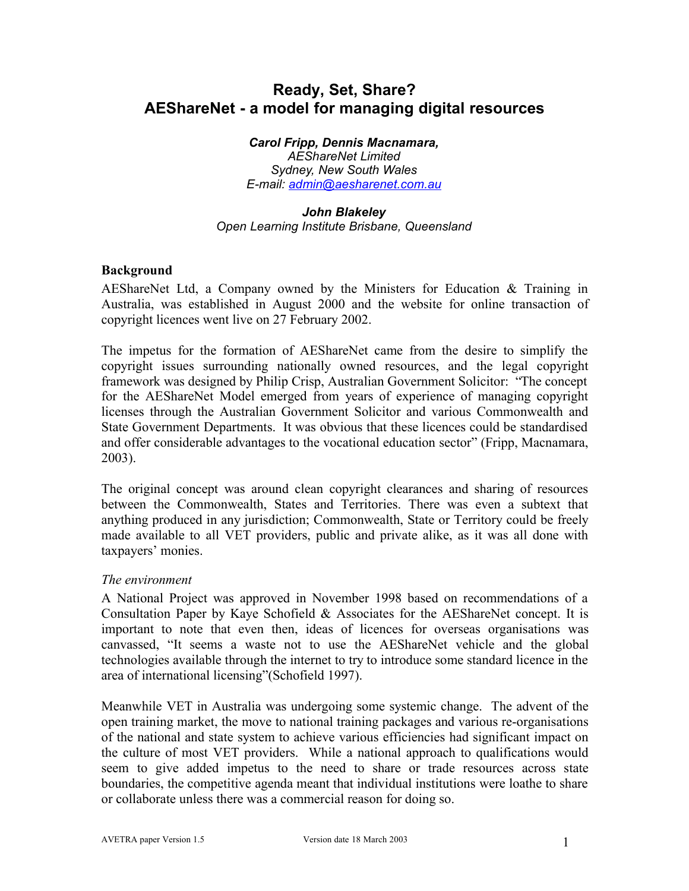# **Ready, Set, Share? AEShareNet - a model for managing digital resources**

*Carol Fripp, Dennis Macnamara, AEShareNet Limited Sydney, New South Wales E-mail: admin@aesharenet.com.au*

# *John Blakeley*

*Open Learning Institute Brisbane, Queensland*

## **Background**

AEShareNet Ltd, a Company owned by the Ministers for Education & Training in Australia, was established in August 2000 and the website for online transaction of copyright licences went live on 27 February 2002.

The impetus for the formation of AEShareNet came from the desire to simplify the copyright issues surrounding nationally owned resources, and the legal copyright framework was designed by Philip Crisp, Australian Government Solicitor: "The concept for the AEShareNet Model emerged from years of experience of managing copyright licenses through the Australian Government Solicitor and various Commonwealth and State Government Departments. It was obvious that these licences could be standardised and offer considerable advantages to the vocational education sector" (Fripp, Macnamara, 2003).

The original concept was around clean copyright clearances and sharing of resources between the Commonwealth, States and Territories. There was even a subtext that anything produced in any jurisdiction; Commonwealth, State or Territory could be freely made available to all VET providers, public and private alike, as it was all done with taxpayers' monies.

# *The environment*

A National Project was approved in November 1998 based on recommendations of a Consultation Paper by Kaye Schofield & Associates for the AEShareNet concept. It is important to note that even then, ideas of licences for overseas organisations was canvassed, "It seems a waste not to use the AEShareNet vehicle and the global technologies available through the internet to try to introduce some standard licence in the area of international licensing"(Schofield 1997).

Meanwhile VET in Australia was undergoing some systemic change. The advent of the open training market, the move to national training packages and various re-organisations of the national and state system to achieve various efficiencies had significant impact on the culture of most VET providers. While a national approach to qualifications would seem to give added impetus to the need to share or trade resources across state boundaries, the competitive agenda meant that individual institutions were loathe to share or collaborate unless there was a commercial reason for doing so.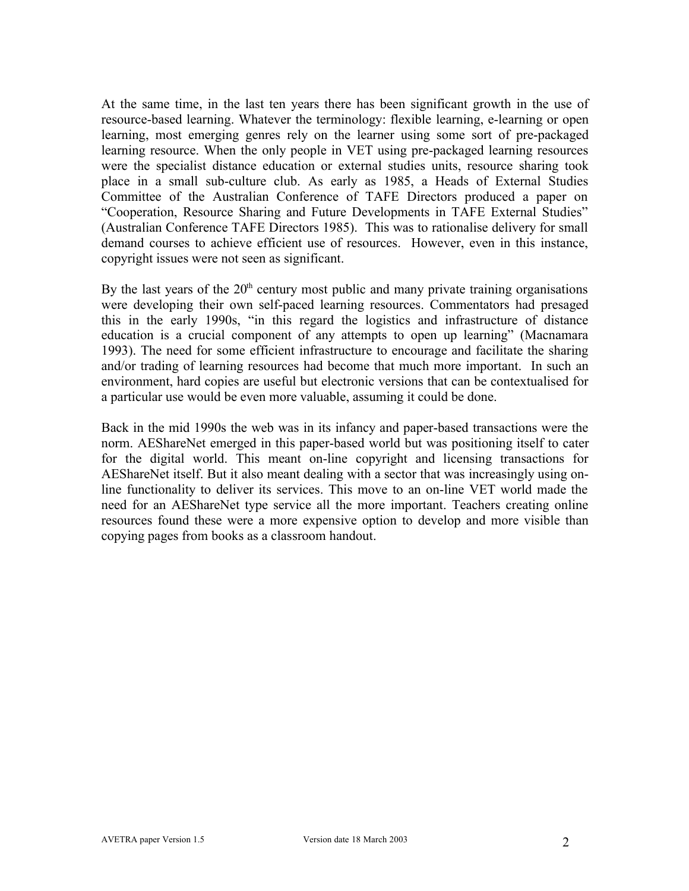At the same time, in the last ten years there has been significant growth in the use of resource-based learning. Whatever the terminology: flexible learning, e-learning or open learning, most emerging genres rely on the learner using some sort of pre-packaged learning resource. When the only people in VET using pre-packaged learning resources were the specialist distance education or external studies units, resource sharing took place in a small sub-culture club. As early as 1985, a Heads of External Studies Committee of the Australian Conference of TAFE Directors produced a paper on "Cooperation, Resource Sharing and Future Developments in TAFE External Studies" (Australian Conference TAFE Directors 1985). This was to rationalise delivery for small demand courses to achieve efficient use of resources. However, even in this instance, copyright issues were not seen as significant.

By the last years of the  $20<sup>th</sup>$  century most public and many private training organisations were developing their own self-paced learning resources. Commentators had presaged this in the early 1990s, "in this regard the logistics and infrastructure of distance education is a crucial component of any attempts to open up learning" (Macnamara 1993). The need for some efficient infrastructure to encourage and facilitate the sharing and/or trading of learning resources had become that much more important. In such an environment, hard copies are useful but electronic versions that can be contextualised for a particular use would be even more valuable, assuming it could be done.

Back in the mid 1990s the web was in its infancy and paper-based transactions were the norm. AEShareNet emerged in this paper-based world but was positioning itself to cater for the digital world. This meant on-line copyright and licensing transactions for AEShareNet itself. But it also meant dealing with a sector that was increasingly using online functionality to deliver its services. This move to an on-line VET world made the need for an AEShareNet type service all the more important. Teachers creating online resources found these were a more expensive option to develop and more visible than copying pages from books as a classroom handout.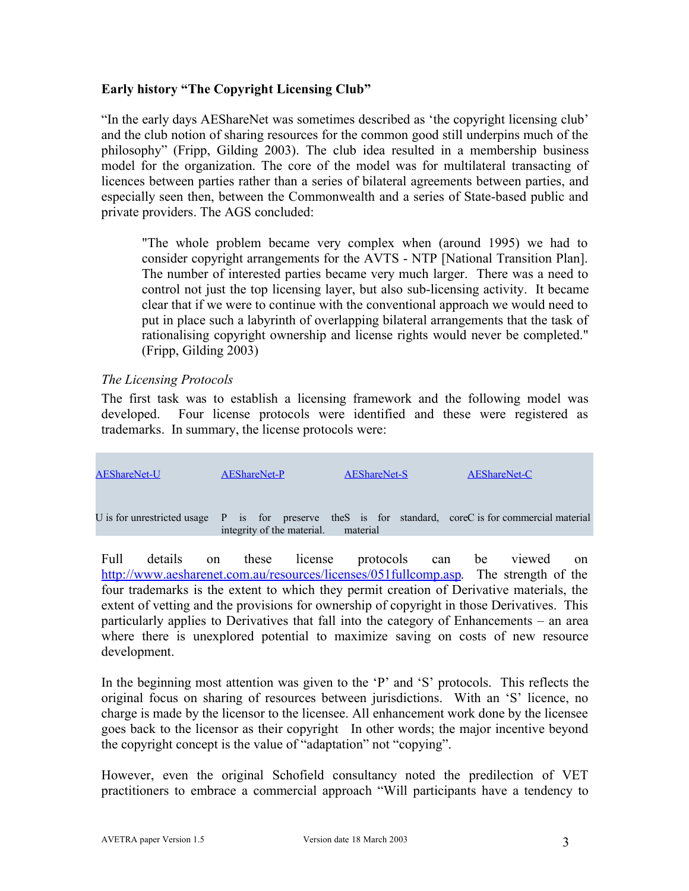## **Early history "The Copyright Licensing Club"**

"In the early days AEShareNet was sometimes described as 'the copyright licensing club' and the club notion of sharing resources for the common good still underpins much of the philosophy" (Fripp, Gilding 2003). The club idea resulted in a membership business model for the organization. The core of the model was for multilateral transacting of licences between parties rather than a series of bilateral agreements between parties, and especially seen then, between the Commonwealth and a series of State-based public and private providers. The AGS concluded:

"The whole problem became very complex when (around 1995) we had to consider copyright arrangements for the AVTS - NTP [National Transition Plan]. The number of interested parties became very much larger. There was a need to control not just the top licensing layer, but also sub-licensing activity. It became clear that if we were to continue with the conventional approach we would need to put in place such a labyrinth of overlapping bilateral arrangements that the task of rationalising copyright ownership and license rights would never be completed." (Fripp, Gilding 2003)

## *The Licensing Protocols*

The first task was to establish a licensing framework and the following model was developed. Four license protocols were identified and these were registered as trademarks. In summary, the license protocols were:



Full details on these license protocols can be viewed on http://www.aesharenet.com.au/resources/licenses/051fullcomp.asp. The strength of the four trademarks is the extent to which they permit creation of Derivative materials, the extent of vetting and the provisions for ownership of copyright in those Derivatives. This particularly applies to Derivatives that fall into the category of Enhancements – an area where there is unexplored potential to maximize saving on costs of new resource development.

In the beginning most attention was given to the 'P' and 'S' protocols. This reflects the original focus on sharing of resources between jurisdictions. With an 'S' licence, no charge is made by the licensor to the licensee. All enhancement work done by the licensee goes back to the licensor as their copyright In other words; the major incentive beyond the copyright concept is the value of "adaptation" not "copying".

However, even the original Schofield consultancy noted the predilection of VET practitioners to embrace a commercial approach "Will participants have a tendency to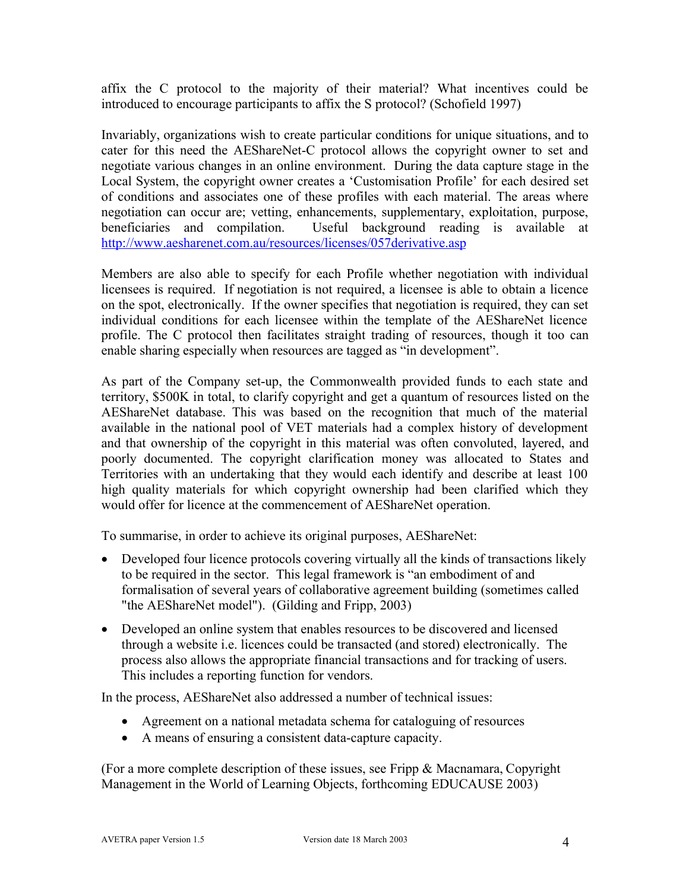affix the C protocol to the majority of their material? What incentives could be introduced to encourage participants to affix the S protocol? (Schofield 1997)

Invariably, organizations wish to create particular conditions for unique situations, and to cater for this need the AEShareNet-C protocol allows the copyright owner to set and negotiate various changes in an online environment. During the data capture stage in the Local System, the copyright owner creates a 'Customisation Profile' for each desired set of conditions and associates one of these profiles with each material. The areas where negotiation can occur are; vetting, enhancements, supplementary, exploitation, purpose, beneficiaries and compilation. Useful background reading is available at http://www.aesharenet.com.au/resources/licenses/057derivative.asp

Members are also able to specify for each Profile whether negotiation with individual licensees is required. If negotiation is not required, a licensee is able to obtain a licence on the spot, electronically. If the owner specifies that negotiation is required, they can set individual conditions for each licensee within the template of the AEShareNet licence profile. The C protocol then facilitates straight trading of resources, though it too can enable sharing especially when resources are tagged as "in development".

As part of the Company set-up, the Commonwealth provided funds to each state and territory, \$500K in total, to clarify copyright and get a quantum of resources listed on the AEShareNet database. This was based on the recognition that much of the material available in the national pool of VET materials had a complex history of development and that ownership of the copyright in this material was often convoluted, layered, and poorly documented. The copyright clarification money was allocated to States and Territories with an undertaking that they would each identify and describe at least 100 high quality materials for which copyright ownership had been clarified which they would offer for licence at the commencement of AEShareNet operation.

To summarise, in order to achieve its original purposes, AEShareNet:

- Developed four licence protocols covering virtually all the kinds of transactions likely to be required in the sector. This legal framework is "an embodiment of and formalisation of several years of collaborative agreement building (sometimes called "the AEShareNet model"). (Gilding and Fripp, 2003)
- Developed an online system that enables resources to be discovered and licensed through a website i.e. licences could be transacted (and stored) electronically. The process also allows the appropriate financial transactions and for tracking of users. This includes a reporting function for vendors.

In the process, AEShareNet also addressed a number of technical issues:

- Agreement on a national metadata schema for cataloguing of resources
- A means of ensuring a consistent data-capture capacity.

(For a more complete description of these issues, see Fripp & Macnamara, Copyright Management in the World of Learning Objects, forthcoming EDUCAUSE 2003)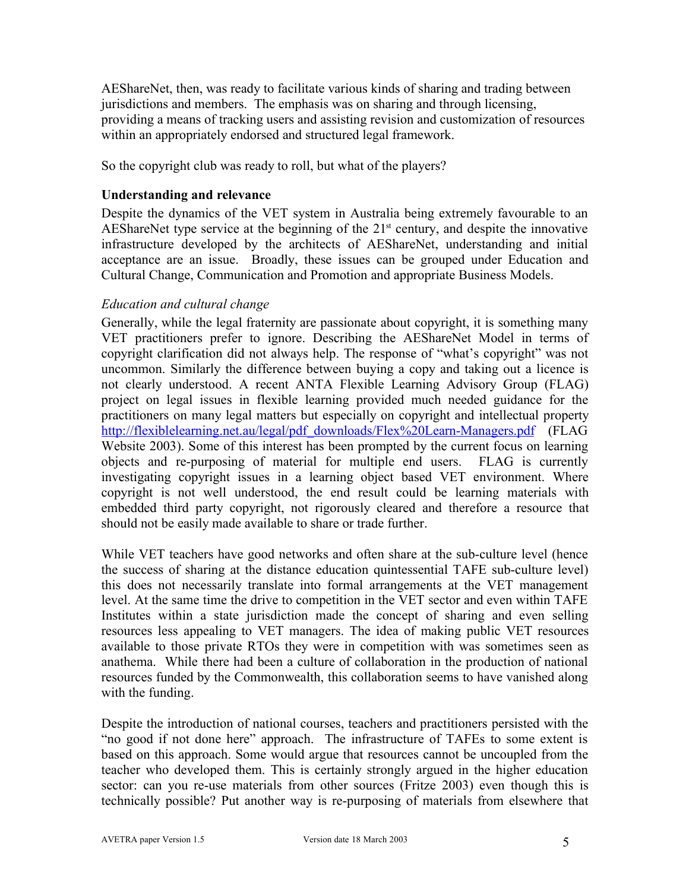AEShareNet, then, was ready to facilitate various kinds of sharing and trading between jurisdictions and members. The emphasis was on sharing and through licensing, providing a means of tracking users and assisting revision and customization of resources within an appropriately endorsed and structured legal framework.

So the copyright club was ready to roll, but what of the players?

#### **Understanding and relevance**

Despite the dynamics of the VET system in Australia being extremely favourable to an AEShareNet type service at the beginning of the  $21<sup>st</sup>$  century, and despite the innovative infrastructure developed by the architects of AEShareNet, understanding and initial acceptance are an issue. Broadly, these issues can be grouped under Education and Cultural Change, Communication and Promotion and appropriate Business Models.

#### *Education and cultural change*

Generally, while the legal fraternity are passionate about copyright, it is something many VET practitioners prefer to ignore. Describing the AEShareNet Model in terms of copyright clarification did not always help. The response of "what's copyright" was not uncommon. Similarly the difference between buying a copy and taking out a licence is not clearly understood. A recent ANTA Flexible Learning Advisory Group (FLAG) project on legal issues in flexible learning provided much needed guidance for the practitioners on many legal matters but especially on copyright and intellectual property http://flexiblelearning.net.au/legal/pdf\_downloads/Flex%20Learn-Managers.pdf (FLAG Website 2003). Some of this interest has been prompted by the current focus on learning objects and re-purposing of material for multiple end users. FLAG is currently investigating copyright issues in a learning object based VET environment. Where copyright is not well understood, the end result could be learning materials with embedded third party copyright, not rigorously cleared and therefore a resource that should not be easily made available to share or trade further.

While VET teachers have good networks and often share at the sub-culture level (hence the success of sharing at the distance education quintessential TAFE sub-culture level) this does not necessarily translate into formal arrangements at the VET management level. At the same time the drive to competition in the VET sector and even within TAFE Institutes within a state jurisdiction made the concept of sharing and even selling resources less appealing to VET managers. The idea of making public VET resources available to those private RTOs they were in competition with was sometimes seen as anathema. While there had been a culture of collaboration in the production of national resources funded by the Commonwealth, this collaboration seems to have vanished along with the funding.

Despite the introduction of national courses, teachers and practitioners persisted with the "no good if not done here" approach. The infrastructure of TAFEs to some extent is based on this approach. Some would argue that resources cannot be uncoupled from the teacher who developed them. This is certainly strongly argued in the higher education sector: can you re-use materials from other sources (Fritze 2003) even though this is technically possible? Put another way is re-purposing of materials from elsewhere that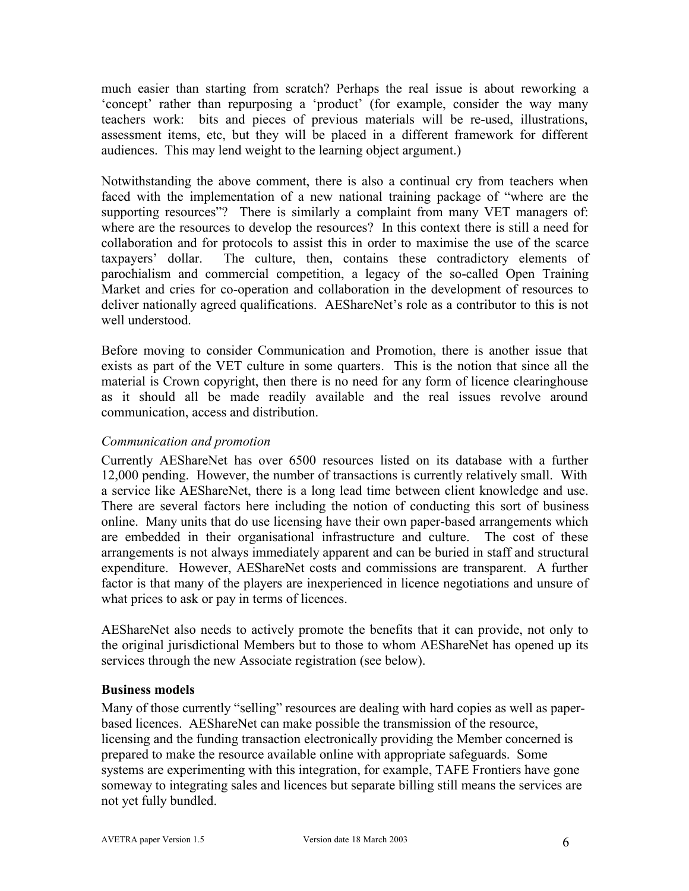much easier than starting from scratch? Perhaps the real issue is about reworking a 'concept' rather than repurposing a 'product' (for example, consider the way many teachers work: bits and pieces of previous materials will be re-used, illustrations, assessment items, etc, but they will be placed in a different framework for different audiences. This may lend weight to the learning object argument.)

Notwithstanding the above comment, there is also a continual cry from teachers when faced with the implementation of a new national training package of "where are the supporting resources"? There is similarly a complaint from many VET managers of: where are the resources to develop the resources? In this context there is still a need for collaboration and for protocols to assist this in order to maximise the use of the scarce taxpayers' dollar. The culture, then, contains these contradictory elements of parochialism and commercial competition, a legacy of the so-called Open Training Market and cries for co-operation and collaboration in the development of resources to deliver nationally agreed qualifications. AEShareNet's role as a contributor to this is not well understood.

Before moving to consider Communication and Promotion, there is another issue that exists as part of the VET culture in some quarters. This is the notion that since all the material is Crown copyright, then there is no need for any form of licence clearinghouse as it should all be made readily available and the real issues revolve around communication, access and distribution.

## *Communication and promotion*

Currently AEShareNet has over 6500 resources listed on its database with a further 12,000 pending. However, the number of transactions is currently relatively small. With a service like AEShareNet, there is a long lead time between client knowledge and use. There are several factors here including the notion of conducting this sort of business online. Many units that do use licensing have their own paper-based arrangements which are embedded in their organisational infrastructure and culture. The cost of these arrangements is not always immediately apparent and can be buried in staff and structural expenditure. However, AEShareNet costs and commissions are transparent. A further factor is that many of the players are inexperienced in licence negotiations and unsure of what prices to ask or pay in terms of licences.

AEShareNet also needs to actively promote the benefits that it can provide, not only to the original jurisdictional Members but to those to whom AEShareNet has opened up its services through the new Associate registration (see below).

#### **Business models**

Many of those currently "selling" resources are dealing with hard copies as well as paperbased licences. AEShareNet can make possible the transmission of the resource, licensing and the funding transaction electronically providing the Member concerned is prepared to make the resource available online with appropriate safeguards. Some systems are experimenting with this integration, for example, TAFE Frontiers have gone someway to integrating sales and licences but separate billing still means the services are not yet fully bundled.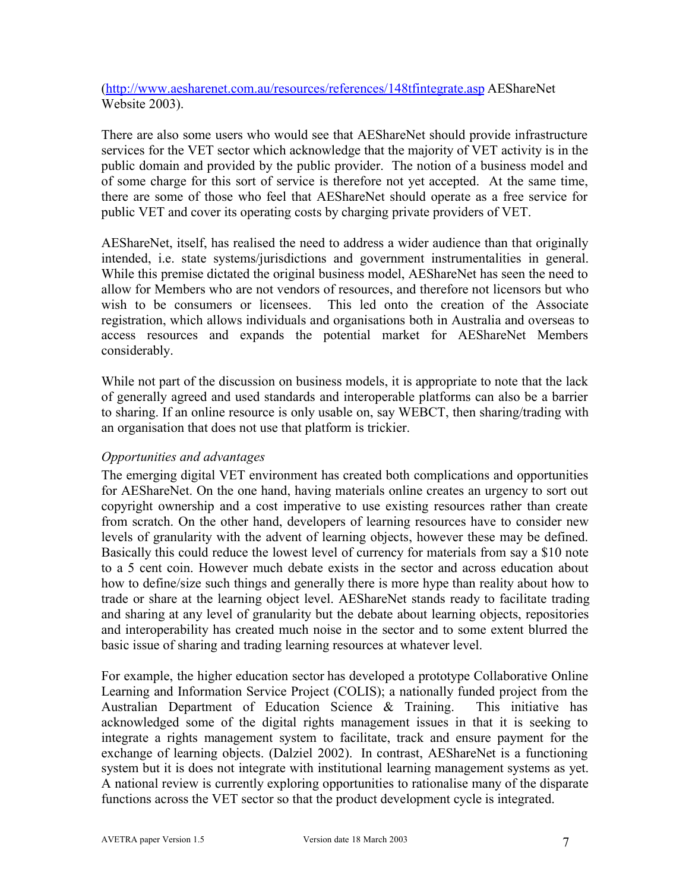(http://www.aesharenet.com.au/resources/references/148tfintegrate.asp AEShareNet Website 2003).

There are also some users who would see that AEShareNet should provide infrastructure services for the VET sector which acknowledge that the majority of VET activity is in the public domain and provided by the public provider. The notion of a business model and of some charge for this sort of service is therefore not yet accepted. At the same time, there are some of those who feel that AEShareNet should operate as a free service for public VET and cover its operating costs by charging private providers of VET.

AEShareNet, itself, has realised the need to address a wider audience than that originally intended, i.e. state systems/jurisdictions and government instrumentalities in general. While this premise dictated the original business model, AEShareNet has seen the need to allow for Members who are not vendors of resources, and therefore not licensors but who wish to be consumers or licensees. This led onto the creation of the Associate registration, which allows individuals and organisations both in Australia and overseas to access resources and expands the potential market for AEShareNet Members considerably.

While not part of the discussion on business models, it is appropriate to note that the lack of generally agreed and used standards and interoperable platforms can also be a barrier to sharing. If an online resource is only usable on, say WEBCT, then sharing/trading with an organisation that does not use that platform is trickier.

# *Opportunities and advantages*

The emerging digital VET environment has created both complications and opportunities for AEShareNet. On the one hand, having materials online creates an urgency to sort out copyright ownership and a cost imperative to use existing resources rather than create from scratch. On the other hand, developers of learning resources have to consider new levels of granularity with the advent of learning objects, however these may be defined. Basically this could reduce the lowest level of currency for materials from say a \$10 note to a 5 cent coin. However much debate exists in the sector and across education about how to define/size such things and generally there is more hype than reality about how to trade or share at the learning object level. AEShareNet stands ready to facilitate trading and sharing at any level of granularity but the debate about learning objects, repositories and interoperability has created much noise in the sector and to some extent blurred the basic issue of sharing and trading learning resources at whatever level.

For example, the higher education sector has developed a prototype Collaborative Online Learning and Information Service Project (COLIS); a nationally funded project from the Australian Department of Education Science & Training. This initiative has acknowledged some of the digital rights management issues in that it is seeking to integrate a rights management system to facilitate, track and ensure payment for the exchange of learning objects. (Dalziel 2002). In contrast, AEShareNet is a functioning system but it is does not integrate with institutional learning management systems as yet. A national review is currently exploring opportunities to rationalise many of the disparate functions across the VET sector so that the product development cycle is integrated.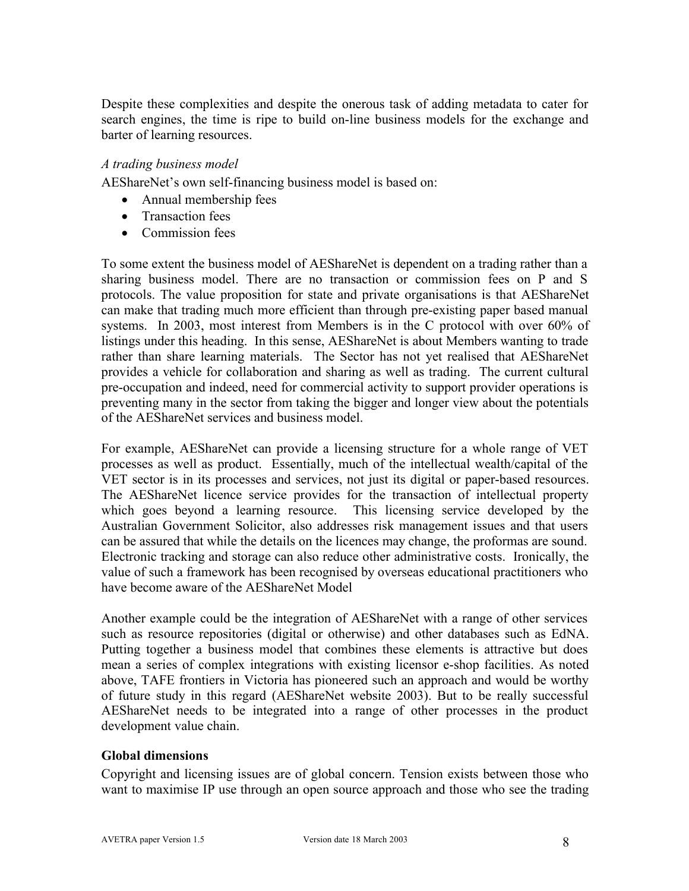Despite these complexities and despite the onerous task of adding metadata to cater for search engines, the time is ripe to build on-line business models for the exchange and barter of learning resources.

## *A trading business model*

AEShareNet's own self-financing business model is based on:

- Annual membership fees
- Transaction fees
- Commission fees

To some extent the business model of AEShareNet is dependent on a trading rather than a sharing business model. There are no transaction or commission fees on P and S protocols. The value proposition for state and private organisations is that AEShareNet can make that trading much more efficient than through pre-existing paper based manual systems. In 2003, most interest from Members is in the C protocol with over 60% of listings under this heading. In this sense, AEShareNet is about Members wanting to trade rather than share learning materials. The Sector has not yet realised that AEShareNet provides a vehicle for collaboration and sharing as well as trading. The current cultural pre-occupation and indeed, need for commercial activity to support provider operations is preventing many in the sector from taking the bigger and longer view about the potentials of the AEShareNet services and business model.

For example, AEShareNet can provide a licensing structure for a whole range of VET processes as well as product. Essentially, much of the intellectual wealth/capital of the VET sector is in its processes and services, not just its digital or paper-based resources. The AEShareNet licence service provides for the transaction of intellectual property which goes beyond a learning resource. This licensing service developed by the Australian Government Solicitor, also addresses risk management issues and that users can be assured that while the details on the licences may change, the proformas are sound. Electronic tracking and storage can also reduce other administrative costs. Ironically, the value of such a framework has been recognised by overseas educational practitioners who have become aware of the AEShareNet Model

Another example could be the integration of AEShareNet with a range of other services such as resource repositories (digital or otherwise) and other databases such as EdNA. Putting together a business model that combines these elements is attractive but does mean a series of complex integrations with existing licensor e-shop facilities. As noted above, TAFE frontiers in Victoria has pioneered such an approach and would be worthy of future study in this regard (AEShareNet website 2003). But to be really successful AEShareNet needs to be integrated into a range of other processes in the product development value chain.

#### **Global dimensions**

Copyright and licensing issues are of global concern. Tension exists between those who want to maximise IP use through an open source approach and those who see the trading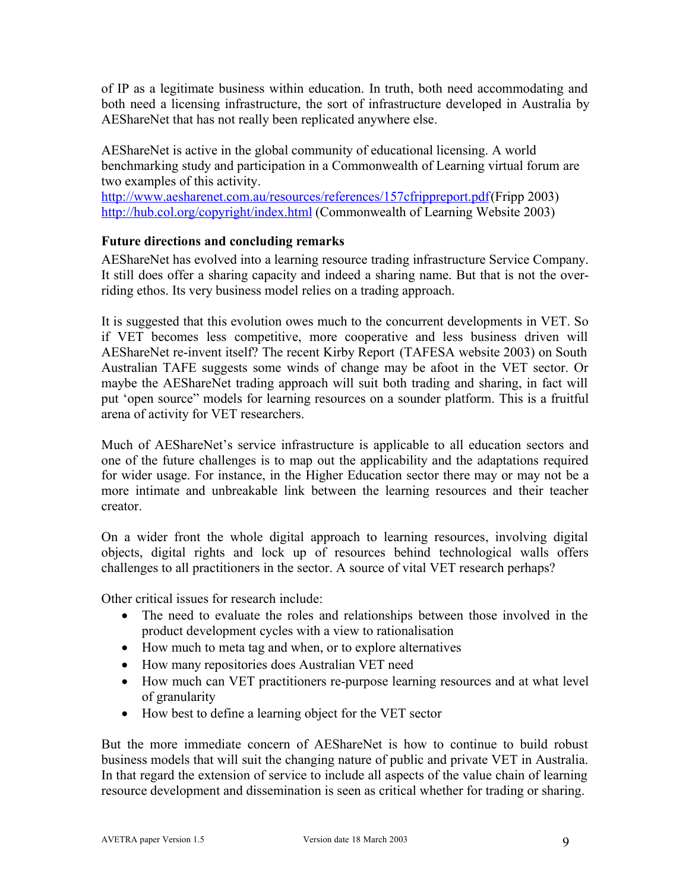of IP as a legitimate business within education. In truth, both need accommodating and both need a licensing infrastructure, the sort of infrastructure developed in Australia by AEShareNet that has not really been replicated anywhere else.

AEShareNet is active in the global community of educational licensing. A world benchmarking study and participation in a Commonwealth of Learning virtual forum are two examples of this activity.

http://www.aesharenet.com.au/resources/references/157cfrippreport.pdf(Fripp 2003) http://hub.col.org/copyright/index.html (Commonwealth of Learning Website 2003)

# **Future directions and concluding remarks**

AEShareNet has evolved into a learning resource trading infrastructure Service Company. It still does offer a sharing capacity and indeed a sharing name. But that is not the overriding ethos. Its very business model relies on a trading approach.

It is suggested that this evolution owes much to the concurrent developments in VET. So if VET becomes less competitive, more cooperative and less business driven will AEShareNet re-invent itself? The recent Kirby Report (TAFESA website 2003) on South Australian TAFE suggests some winds of change may be afoot in the VET sector. Or maybe the AEShareNet trading approach will suit both trading and sharing, in fact will put 'open source" models for learning resources on a sounder platform. This is a fruitful arena of activity for VET researchers.

Much of AEShareNet's service infrastructure is applicable to all education sectors and one of the future challenges is to map out the applicability and the adaptations required for wider usage. For instance, in the Higher Education sector there may or may not be a more intimate and unbreakable link between the learning resources and their teacher creator.

On a wider front the whole digital approach to learning resources, involving digital objects, digital rights and lock up of resources behind technological walls offers challenges to all practitioners in the sector. A source of vital VET research perhaps?

Other critical issues for research include:

- The need to evaluate the roles and relationships between those involved in the product development cycles with a view to rationalisation
- How much to meta tag and when, or to explore alternatives
- How many repositories does Australian VET need
- How much can VET practitioners re-purpose learning resources and at what level of granularity
- How best to define a learning object for the VET sector

But the more immediate concern of AEShareNet is how to continue to build robust business models that will suit the changing nature of public and private VET in Australia. In that regard the extension of service to include all aspects of the value chain of learning resource development and dissemination is seen as critical whether for trading or sharing.